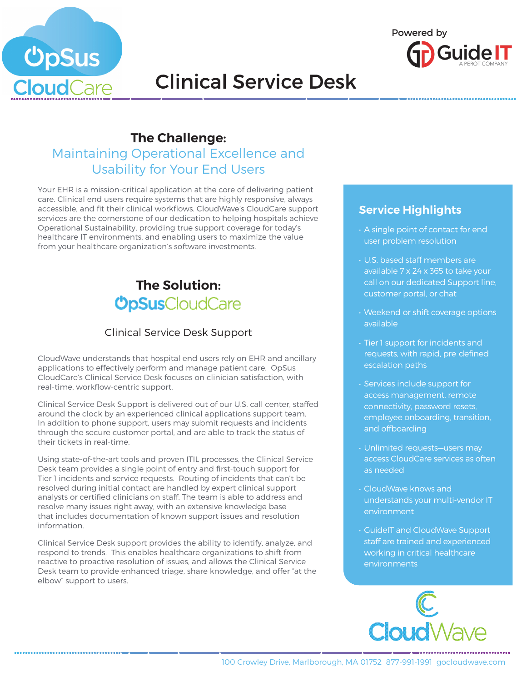



# Clinical Service Desk

## **The Challenge:**

## Maintaining Operational Excellence and Usability for Your End Users

Your EHR is a mission-critical application at the core of delivering patient care. Clinical end users require systems that are highly responsive, always accessible, and fit their clinical workflows. CloudWave's CloudCare support services are the cornerstone of our dedication to helping hospitals achieve Operational Sustainability, providing true support coverage for today's healthcare IT environments, and enabling users to maximize the value from your healthcare organization's software investments.

## **The Solution: ÜpSus**CloudCare

### Clinical Service Desk Support

CloudWave understands that hospital end users rely on EHR and ancillary applications to effectively perform and manage patient care. OpSus CloudCare's Clinical Service Desk focuses on clinician satisfaction, with real-time, workflow-centric support.

Clinical Service Desk Support is delivered out of our U.S. call center, staffed around the clock by an experienced clinical applications support team. In addition to phone support, users may submit requests and incidents through the secure customer portal, and are able to track the status of their tickets in real-time.

Using state-of-the-art tools and proven ITIL processes, the Clinical Service Desk team provides a single point of entry and first-touch support for Tier 1 incidents and service requests. Routing of incidents that can't be resolved during initial contact are handled by expert clinical support analysts or certified clinicians on staff. The team is able to address and resolve many issues right away, with an extensive knowledge base that includes documentation of known support issues and resolution information.

Clinical Service Desk support provides the ability to identify, analyze, and respond to trends. This enables healthcare organizations to shift from reactive to proactive resolution of issues, and allows the Clinical Service Desk team to provide enhanced triage, share knowledge, and offer "at the elbow" support to users.

### **Service Highlights**

- A single point of contact for end user problem resolution
- U.S. based staff members are available 7 x 24 x 365 to take your call on our dedicated Support line, customer portal, or chat
- Weekend or shift coverage options available
- Tier 1 support for incidents and requests, with rapid, pre-defined escalation paths
- Services include support for access management, remote connectivity, password resets, employee onboarding, transition, and offboarding
- Unlimited requests—users may access CloudCare services as often as needed
- CloudWave knows and understands your multi-vendor IT environment
- GuideIT and CloudWave Support staff are trained and experienced working in critical healthcare environments